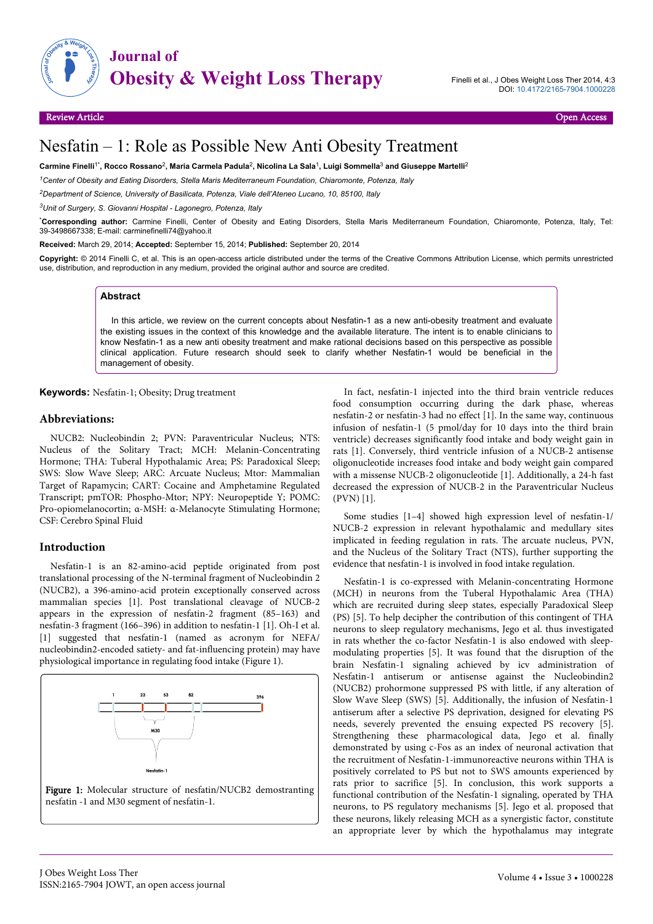

# Nesfatin – 1: Role as Possible New Anti Obesity Treatment

**Carmine Finelli**1\***, Rocco Rossano**<sup>2</sup> **, Maria Carmela Padula**<sup>2</sup> **, Nicolina La Sala**<sup>1</sup> **, Luigi Sommella**<sup>3</sup>  **and Giuseppe Martelli**<sup>2</sup>

*<sup>1</sup>Center of Obesity and Eating Disorders, Stella Maris Mediterraneum Foundation, Chiaromonte, Potenza, Italy*

*<sup>2</sup>Department of Science, University of Basilicata, Potenza, Viale dell'Ateneo Lucano, 10, 85100, Italy*

*<sup>3</sup>Unit of Surgery, S. Giovanni Hospital - Lagonegro, Potenza, Italy*

\***Corresponding author:** Carmine Finelli, Center of Obesity and Eating Disorders, Stella Maris Mediterraneum Foundation, Chiaromonte, Potenza, Italy, Tel: 39-3498667338; E-mail: carminefinelli74@yahoo.it

**Received:** March 29, 2014; **Accepted:** September 15, 2014; **Published:** September 20, 2014

**Copyright:** © 2014 Finelli C, et al. This is an open-access article distributed under the terms of the Creative Commons Attribution License, which permits unrestricted use, distribution, and reproduction in any medium, provided the original author and source are credited.

## **Abstract**

In this article, we review on the current concepts about Nesfatin-1 as a new anti-obesity treatment and evaluate the existing issues in the context of this knowledge and the available literature. The intent is to enable clinicians to know Nesfatin-1 as a new anti obesity treatment and make rational decisions based on this perspective as possible clinical application. Future research should seek to clarify whether Nesfatin-1 would be beneficial in the management of obesity.

**Keywords:** Nesfatin-1; Obesity; Drug treatment

#### **Abbreviations:**

NUCB2: Nucleobindin 2; PVN: Paraventricular Nucleus; NTS: Nucleus of the Solitary Tract; MCH: Melanin-Concentrating Hormone; THA: Tuberal Hypothalamic Area; PS: Paradoxical Sleep; SWS: Slow Wave Sleep; ARC: Arcuate Nucleus; Mtor: Mammalian Target of Rapamycin; CART: Cocaine and Amphetamine Regulated Transcript; pmTOR: Phospho-Mtor; NPY: Neuropeptide Y; POMC: Pro-opiomelanocortin; α-MSH: α-Melanocyte Stimulating Hormone; CSF: Cerebro Spinal Fluid

#### **Introduction**

Nesfatin-1 is an 82-amino-acid peptide originated from post translational processing of the N-terminal fragment of Nucleobindin 2 (NUCB2), a 396-amino-acid protein exceptionally conserved across mammalian species [1]. Post translational cleavage of NUCB-2 appears in the expression of nesfatin-2 fragment (85–163) and nesfatin-3 fragment (166–396) in addition to nesfatin-1 [1]. Oh-I et al. [1] suggested that nesfatin-1 (named as acronym for NEFA/ nucleobindin2-encoded satiety- and fat-influencing protein) may have physiological importance in regulating food intake (Figure 1).





In fact, nesfatin-1 injected into the third brain ventricle reduces food consumption occurring during the dark phase, whereas nesfatin-2 or nesfatin-3 had no effect [1]. In the same way, continuous infusion of nesfatin-1 (5 pmol/day for 10 days into the third brain ventricle) decreases significantly food intake and body weight gain in rats [1]. Conversely, third ventricle infusion of a NUCB-2 antisense oligonucleotide increases food intake and body weight gain compared with a missense NUCB-2 oligonucleotide [1]. Additionally, a 24-h fast decreased the expression of NUCB-2 in the Paraventricular Nucleus (PVN) [1].

Some studies [1–4] showed high expression level of nesfatin-1/ NUCB-2 expression in relevant hypothalamic and medullary sites implicated in feeding regulation in rats. The arcuate nucleus, PVN, and the Nucleus of the Solitary Tract (NTS), further supporting the evidence that nesfatin-1 is involved in food intake regulation.

Nesfatin-1 is co-expressed with Melanin-concentrating Hormone (MCH) in neurons from the Tuberal Hypothalamic Area (THA) which are recruited during sleep states, especially Paradoxical Sleep (PS) [5]. To help decipher the contribution of this contingent of THA neurons to sleep regulatory mechanisms, Jego et al. thus investigated in rats whether the co-factor Nesfatin-1 is also endowed with sleepmodulating properties [5]. It was found that the disruption of the brain Nesfatin-1 signaling achieved by icv administration of Nesfatin-1 antiserum or antisense against the Nucleobindin2 (NUCB2) prohormone suppressed PS with little, if any alteration of Slow Wave Sleep (SWS) [5]. Additionally, the infusion of Nesfatin-1 antiserum after a selective PS deprivation, designed for elevating PS needs, severely prevented the ensuing expected PS recovery [5]. Strengthening these pharmacological data, Jego et al. finally demonstrated by using c-Fos as an index of neuronal activation that the recruitment of Nesfatin-1-immunoreactive neurons within THA is positively correlated to PS but not to SWS amounts experienced by rats prior to sacrifice [5]. In conclusion, this work supports a functional contribution of the Nesfatin-1 signaling, operated by THA neurons, to PS regulatory mechanisms [5]. Jego et al. proposed that these neurons, likely releasing MCH as a synergistic factor, constitute an appropriate lever by which the hypothalamus may integrate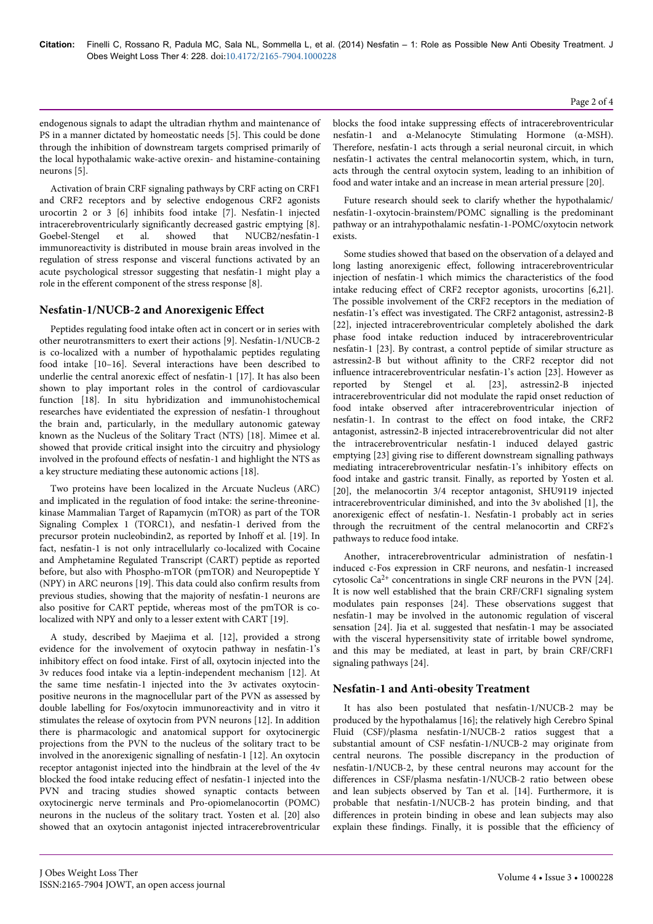endogenous signals to adapt the ultradian rhythm and maintenance of PS in a manner dictated by homeostatic needs [5]. This could be done through the inhibition of downstream targets comprised primarily of the local hypothalamic wake-active orexin- and histamine-containing neurons [5].

Activation of brain CRF signaling pathways by CRF acting on CRF1 and CRF2 receptors and by selective endogenous CRF2 agonists urocortin 2 or 3 [6] inhibits food intake [7]. Nesfatin-1 injected intracerebroventricularly significantly decreased gastric emptying [8]. Goebel-Stengel et al. showed that NUCB2/nesfatin-1 immunoreactivity is distributed in mouse brain areas involved in the regulation of stress response and visceral functions activated by an acute psychological stressor suggesting that nesfatin-1 might play a role in the efferent component of the stress response [8].

## **Nesfatin-1/NUCB-2 and Anorexigenic Effect**

Peptides regulating food intake often act in concert or in series with other neurotransmitters to exert their actions [9]. Nesfatin-1/NUCB-2 is co-localized with a number of hypothalamic peptides regulating food intake [10–16]. Several interactions have been described to underlie the central anorexic effect of nesfatin-1 [17]. It has also been shown to play important roles in the control of cardiovascular function [18]. In situ hybridization and immunohistochemical researches have evidentiated the expression of nesfatin-1 throughout the brain and, particularly, in the medullary autonomic gateway known as the Nucleus of the Solitary Tract (NTS) [18]. Mimee et al. showed that provide critical insight into the circuitry and physiology involved in the profound effects of nesfatin-1 and highlight the NTS as a key structure mediating these autonomic actions [18].

Two proteins have been localized in the Arcuate Nucleus (ARC) and implicated in the regulation of food intake: the serine-threoninekinase Mammalian Target of Rapamycin (mTOR) as part of the TOR Signaling Complex 1 (TORC1), and nesfatin-1 derived from the precursor protein nucleobindin2, as reported by Inhoff et al. [19]. In fact, nesfatin-1 is not only intracellularly co-localized with Cocaine and Amphetamine Regulated Transcript (CART) peptide as reported before, but also with Phospho-mTOR (pmTOR) and Neuropeptide Y (NPY) in ARC neurons [19]. This data could also confirm results from previous studies, showing that the majority of nesfatin-1 neurons are also positive for CART peptide, whereas most of the pmTOR is colocalized with NPY and only to a lesser extent with CART [19].

A study, described by Maejima et al. [12], provided a strong evidence for the involvement of oxytocin pathway in nesfatin-1's inhibitory effect on food intake. First of all, oxytocin injected into the 3v reduces food intake via a leptin-independent mechanism [12]. At the same time nesfatin-1 injected into the 3v activates oxytocinpositive neurons in the magnocellular part of the PVN as assessed by double labelling for Fos/oxytocin immunoreactivity and in vitro it stimulates the release of oxytocin from PVN neurons [12]. In addition there is pharmacologic and anatomical support for oxytocinergic projections from the PVN to the nucleus of the solitary tract to be involved in the anorexigenic signalling of nesfatin-1 [12]. An oxytocin receptor antagonist injected into the hindbrain at the level of the 4v blocked the food intake reducing effect of nesfatin-1 injected into the PVN and tracing studies showed synaptic contacts between oxytocinergic nerve terminals and Pro-opiomelanocortin (POMC) neurons in the nucleus of the solitary tract. Yosten et al. [20] also showed that an oxytocin antagonist injected intracerebroventricular

blocks the food intake suppressing effects of intracerebroventricular nesfatin-1 and α-Melanocyte Stimulating Hormone (α-MSH). Therefore, nesfatin-1 acts through a serial neuronal circuit, in which nesfatin-1 activates the central melanocortin system, which, in turn, acts through the central oxytocin system, leading to an inhibition of food and water intake and an increase in mean arterial pressure [20].

Future research should seek to clarify whether the hypothalamic/ nesfatin-1-oxytocin-brainstem/POMC signalling is the predominant pathway or an intrahypothalamic nesfatin-1-POMC/oxytocin network exists.

Some studies showed that based on the observation of a delayed and long lasting anorexigenic effect, following intracerebroventricular injection of nesfatin-1 which mimics the characteristics of the food intake reducing effect of CRF2 receptor agonists, urocortins [6,21]. The possible involvement of the CRF2 receptors in the mediation of nesfatin-1's effect was investigated. The CRF2 antagonist, astressin2-B [22], injected intracerebroventricular completely abolished the dark phase food intake reduction induced by intracerebroventricular nesfatin-1 [23]. By contrast, a control peptide of similar structure as astressin2-B but without affinity to the CRF2 receptor did not influence intracerebroventricular nesfatin-1's action [23]. However as reported by Stengel et al. [23], astressin2-B injected intracerebroventricular did not modulate the rapid onset reduction of food intake observed after intracerebroventricular injection of nesfatin-1. In contrast to the effect on food intake, the CRF2 antagonist, astressin2-B injected intracerebroventricular did not alter the intracerebroventricular nesfatin-1 induced delayed gastric emptying [23] giving rise to different downstream signalling pathways mediating intracerebroventricular nesfatin-1's inhibitory effects on food intake and gastric transit. Finally, as reported by Yosten et al. [20], the melanocortin 3/4 receptor antagonist, SHU9119 injected intracerebroventricular diminished, and into the 3v abolished [1], the anorexigenic effect of nesfatin-1. Nesfatin-1 probably act in series through the recruitment of the central melanocortin and CRF2's pathways to reduce food intake.

Another, intracerebroventricular administration of nesfatin-1 induced c-Fos expression in CRF neurons, and nesfatin-1 increased cytosolic  $Ca^{2+}$  concentrations in single CRF neurons in the PVN [24]. It is now well established that the brain CRF/CRF1 signaling system modulates pain responses [24]. These observations suggest that nesfatin-1 may be involved in the autonomic regulation of visceral sensation [24]. Jia et al. suggested that nesfatin-1 may be associated with the visceral hypersensitivity state of irritable bowel syndrome, and this may be mediated, at least in part, by brain CRF/CRF1 signaling pathways [24].

## **Nesfatin-1 and Anti-obesity Treatment**

It has also been postulated that nesfatin-1/NUCB-2 may be produced by the hypothalamus [16]; the relatively high Cerebro Spinal Fluid (CSF)/plasma nesfatin-1/NUCB-2 ratios suggest that a substantial amount of CSF nesfatin-1/NUCB-2 may originate from central neurons. The possible discrepancy in the production of nesfatin-1/NUCB-2, by these central neurons may account for the differences in CSF/plasma nesfatin-1/NUCB-2 ratio between obese and lean subjects observed by Tan et al. [14]. Furthermore, it is probable that nesfatin-1/NUCB-2 has protein binding, and that differences in protein binding in obese and lean subjects may also explain these findings. Finally, it is possible that the efficiency of

#### Page 2 of 4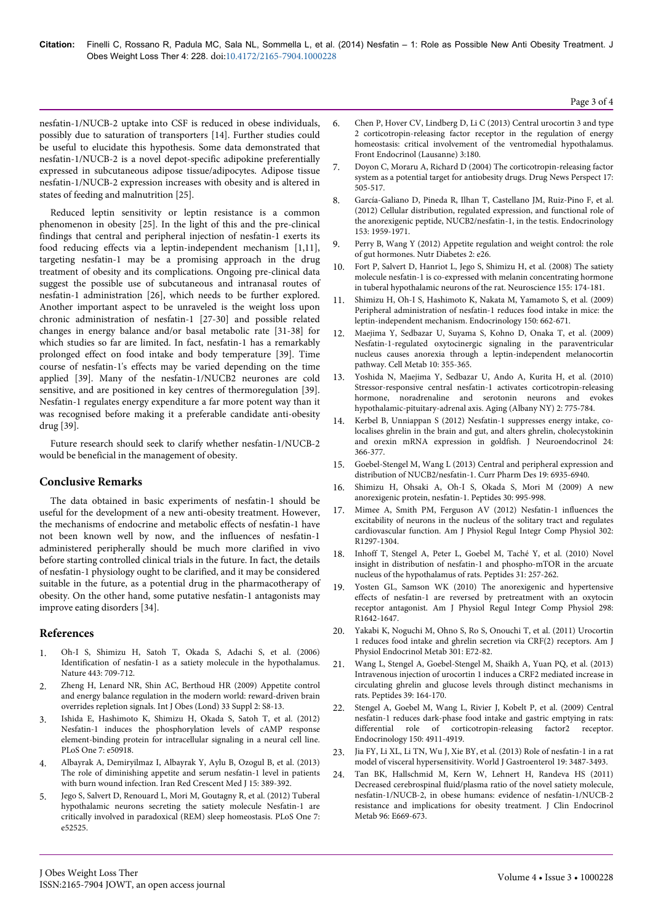nesfatin-1/NUCB-2 uptake into CSF is reduced in obese individuals, possibly due to saturation of transporters [14]. Further studies could be useful to elucidate this hypothesis. Some data demonstrated that nesfatin-1/NUCB-2 is a novel depot-specific adipokine preferentially expressed in subcutaneous adipose tissue/adipocytes. Adipose tissue nesfatin-1/NUCB-2 expression increases with obesity and is altered in states of feeding and malnutrition [25].

Reduced leptin sensitivity or leptin resistance is a common phenomenon in obesity [25]. In the light of this and the pre-clinical findings that central and peripheral injection of nesfatin-1 exerts its food reducing effects via a leptin-independent mechanism [1,11], targeting nesfatin-1 may be a promising approach in the drug treatment of obesity and its complications. Ongoing pre-clinical data suggest the possible use of subcutaneous and intranasal routes of nesfatin-1 administration [26], which needs to be further explored. Another important aspect to be unraveled is the weight loss upon chronic administration of nesfatin-1 [27-30] and possible related changes in energy balance and/or basal metabolic rate [31-38] for which studies so far are limited. In fact, nesfatin-1 has a remarkably prolonged effect on food intake and body temperature [39]. Time course of nesfatin-1's effects may be varied depending on the time applied [39]. Many of the nesfatin-1/NUCB2 neurones are cold sensitive, and are positioned in key centres of thermoregulation [39]. Nesfatin-1 regulates energy expenditure a far more potent way than it was recognised before making it a preferable candidate anti-obesity drug [39].

Future research should seek to clarify whether nesfatin-1/NUCB-2 would be beneficial in the management of obesity.

## **Conclusive Remarks**

The data obtained in basic experiments of nesfatin-1 should be useful for the development of a new anti-obesity treatment. However, the mechanisms of endocrine and metabolic effects of nesfatin-1 have not been known well by now, and the influences of nesfatin-1 administered peripherally should be much more clarified in vivo before starting controlled clinical trials in the future. In fact, the details of nesfatin-1 physiology ought to be clarified, and it may be considered suitable in the future, as a potential drug in the pharmacotherapy of obesity. On the other hand, some putative nesfatin-1 antagonists may improve eating disorders [34].

## **References**

- 1. [Oh-I S, Shimizu H, Satoh T, Okada S, Adachi S, et al. \(2006\)](http://www.ncbi.nlm.nih.gov/pubmed/17036007) [Identification of nesfatin-1 as a satiety molecule in the hypothalamus.](http://www.ncbi.nlm.nih.gov/pubmed/17036007) [Nature 443: 709-712.](http://www.ncbi.nlm.nih.gov/pubmed/17036007)
- 2. [Zheng H, Lenard NR, Shin AC, Berthoud HR \(2009\) Appetite control](http://www.ncbi.nlm.nih.gov/pubmed/19528982) [and energy balance regulation in the modern world: reward-driven brain](http://www.ncbi.nlm.nih.gov/pubmed/19528982) [overrides repletion signals. Int J Obes \(Lond\) 33 Suppl 2: S8-13.](http://www.ncbi.nlm.nih.gov/pubmed/19528982)
- 3. [Ishida E, Hashimoto K, Shimizu H, Okada S, Satoh T, et al. \(2012\)](http://www.ncbi.nlm.nih.gov/pubmed/23236405) [Nesfatin-1 induces the phosphorylation levels of cAMP response](http://www.ncbi.nlm.nih.gov/pubmed/23236405) [element-binding protein for intracellular signaling in a neural cell line.](http://www.ncbi.nlm.nih.gov/pubmed/23236405) [PLoS One 7: e50918.](http://www.ncbi.nlm.nih.gov/pubmed/23236405)
- 4. [Albayrak A, Demiryilmaz I, Albayrak Y, Aylu B, Ozogul B, et al. \(2013\)](http://www.ncbi.nlm.nih.gov/pubmed/24349725) [The role of diminishing appetite and serum nesfatin-1 level in patients](http://www.ncbi.nlm.nih.gov/pubmed/24349725) [with burn wound infection. Iran Red Crescent Med J 15: 389-392.](http://www.ncbi.nlm.nih.gov/pubmed/24349725)
- 5. [Jego S, Salvert D, Renouard L, Mori M, Goutagny R, et al. \(2012\) Tuberal](http://www.ncbi.nlm.nih.gov/pubmed/23300698) [hypothalamic neurons secreting the satiety molecule Nesfatin-1 are](http://www.ncbi.nlm.nih.gov/pubmed/23300698) [critically involved in paradoxical \(REM\) sleep homeostasis. PLoS One 7:](http://www.ncbi.nlm.nih.gov/pubmed/23300698) [e52525.](http://www.ncbi.nlm.nih.gov/pubmed/23300698)
- 6. Chen P, Hover CV, Lindberg D, Li C (2013) Central urocortin 3 and type 2 corticotropin-releasing factor receptor in the regulation of energy homeostasis: critical involvement of the ventromedial hypothalamus. Front Endocrinol (Lausanne) 3:180.
- 7. [Doyon C, Moraru A, Richard D \(2004\) The corticotropin-releasing factor](http://www.ncbi.nlm.nih.gov/pubmed/15605110) [system as a potential target for antiobesity drugs. Drug News Perspect 17:](http://www.ncbi.nlm.nih.gov/pubmed/15605110) [505-517.](http://www.ncbi.nlm.nih.gov/pubmed/15605110)
- 8. García-Galiano D, Pineda R, Ilhan T, Castellano JM, Ruiz-Pino F, et al. (2012) Cellular distribution, regulated expression, and functional role of the anorexigenic peptide, NUCB2/nesfatin-1, in the testis. Endocrinology 153: 1959-1971.
- 9. [Perry B, Wang Y \(2012\) Appetite regulation and weight control: the role](http://www.ncbi.nlm.nih.gov/pubmed/23154682) [of gut hormones. Nutr Diabetes 2: e26.](http://www.ncbi.nlm.nih.gov/pubmed/23154682)
- 10. Fort P, Salvert D, Hanriot L, Jego S, Shimizu H, et al. (2008) The satiety molecule nesfatin-1 is co-expressed with melanin concentrating hormone in tuberal hypothalamic neurons of the rat. Neuroscience 155: 174-181.
- 11. Shimizu H, Oh-I S, Hashimoto K, Nakata M, Yamamoto S, et al. (2009) Peripheral administration of nesfatin-1 reduces food intake in mice: the leptin-independent mechanism. Endocrinology 150: 662-671.
- 12. Maejima Y, Sedbazar U, Suyama S, Kohno D, Onaka T, et al. (2009) Nesfatin-1-regulated oxytocinergic signaling in the paraventricular nucleus causes anorexia through a leptin-independent melanocortin pathway. Cell Metab 10: 355-365.
- 13. Yoshida N, Maejima Y, Sedbazar U, Ando A, Kurita H, et al. (2010) Stressor-responsive central nesfatin-1 activates corticotropin-releasing hormone, noradrenaline and serotonin neurons and evokes hypothalamic-pituitary-adrenal axis. Aging (Albany NY) 2: 775-784.
- 14. [Kerbel B, Unniappan S \(2012\) Nesfatin-1 suppresses energy intake, co](http://www.ncbi.nlm.nih.gov/pubmed/22023656)[localises ghrelin in the brain and gut, and alters ghrelin, cholecystokinin](http://www.ncbi.nlm.nih.gov/pubmed/22023656) [and orexin mRNA expression in goldfish. J Neuroendocrinol 24:](http://www.ncbi.nlm.nih.gov/pubmed/22023656) [366-377.](http://www.ncbi.nlm.nih.gov/pubmed/22023656)
- 15. [Goebel-Stengel M, Wang L \(2013\) Central and peripheral expression and](http://www.ncbi.nlm.nih.gov/pubmed/23537079) [distribution of NUCB2/nesfatin-1. Curr Pharm Des 19: 6935-6940.](http://www.ncbi.nlm.nih.gov/pubmed/23537079)
- 16. [Shimizu H, Ohsaki A, Oh-I S, Okada S, Mori M \(2009\) A new](http://www.ncbi.nlm.nih.gov/pubmed/19452636) [anorexigenic protein, nesfatin-1. Peptides 30: 995-998.](http://www.ncbi.nlm.nih.gov/pubmed/19452636)
- 17. [Mimee A, Smith PM, Ferguson AV \(2012\) Nesfatin-1 influences the](http://www.ncbi.nlm.nih.gov/pubmed/22442196) [excitability of neurons in the nucleus of the solitary tract and regulates](http://www.ncbi.nlm.nih.gov/pubmed/22442196) [cardiovascular function. Am J Physiol Regul Integr Comp Physiol 302:](http://www.ncbi.nlm.nih.gov/pubmed/22442196) [R1297-1304.](http://www.ncbi.nlm.nih.gov/pubmed/22442196)
- 18. [Inhoff T, Stengel A, Peter L, Goebel M, Taché Y, et al. \(2010\) Novel](http://www.ncbi.nlm.nih.gov/pubmed/19961888) [insight in distribution of nesfatin-1 and phospho-mTOR in the arcuate](http://www.ncbi.nlm.nih.gov/pubmed/19961888) [nucleus of the hypothalamus of rats. Peptides 31: 257-262.](http://www.ncbi.nlm.nih.gov/pubmed/19961888)
- [Yosten GL, Samson WK \(2010\) The anorexigenic and hypertensive](http://www.ncbi.nlm.nih.gov/pubmed/20335376) [effects of nesfatin-1 are reversed by pretreatment with an oxytocin](http://www.ncbi.nlm.nih.gov/pubmed/20335376) [receptor antagonist. Am J Physiol Regul Integr Comp Physiol 298:](http://www.ncbi.nlm.nih.gov/pubmed/20335376) [R1642-1647.](http://www.ncbi.nlm.nih.gov/pubmed/20335376)
- 20. [Yakabi K, Noguchi M, Ohno S, Ro S, Onouchi T, et al. \(2011\) Urocortin](http://www.ncbi.nlm.nih.gov/pubmed/21540451) [1 reduces food intake and ghrelin secretion via CRF\(2\) receptors. Am J](http://www.ncbi.nlm.nih.gov/pubmed/21540451) [Physiol Endocrinol Metab 301: E72-82.](http://www.ncbi.nlm.nih.gov/pubmed/21540451)
- 21. [Wang L, Stengel A, Goebel-Stengel M, Shaikh A, Yuan PQ, et al. \(2013\)](http://www.ncbi.nlm.nih.gov/pubmed/23183626) [Intravenous injection of urocortin 1 induces a CRF2 mediated increase in](http://www.ncbi.nlm.nih.gov/pubmed/23183626) [circulating ghrelin and glucose levels through distinct mechanisms in](http://www.ncbi.nlm.nih.gov/pubmed/23183626) [rats. Peptides 39: 164-170.](http://www.ncbi.nlm.nih.gov/pubmed/23183626)
- 22. [Stengel A, Goebel M, Wang L, Rivier J, Kobelt P, et al. \(2009\) Central](http://www.ncbi.nlm.nih.gov/pubmed/19797401) [nesfatin-1 reduces dark-phase food intake and gastric emptying in rats:](http://www.ncbi.nlm.nih.gov/pubmed/19797401) [differential role of corticotropin-releasing factor2 receptor.](http://www.ncbi.nlm.nih.gov/pubmed/19797401) [Endocrinology 150: 4911-4919.](http://www.ncbi.nlm.nih.gov/pubmed/19797401)
- 23. [Jia FY, Li XL, Li TN, Wu J, Xie BY, et al. \(2013\) Role of nesfatin-1 in a rat](http://www.ncbi.nlm.nih.gov/pubmed/23801843) [model of visceral hypersensitivity. World J Gastroenterol 19: 3487-3493.](http://www.ncbi.nlm.nih.gov/pubmed/23801843)
- 24. Tan BK, Hallschmid M, Kern W, Lehnert H, Randeva HS (2011) Decreased cerebrospinal fluid/plasma ratio of the novel satiety molecule, nesfatin-1/NUCB-2, in obese humans: evidence of nesfatin-1/NUCB-2 resistance and implications for obesity treatment. J Clin Endocrinol Metab 96: E669-673.